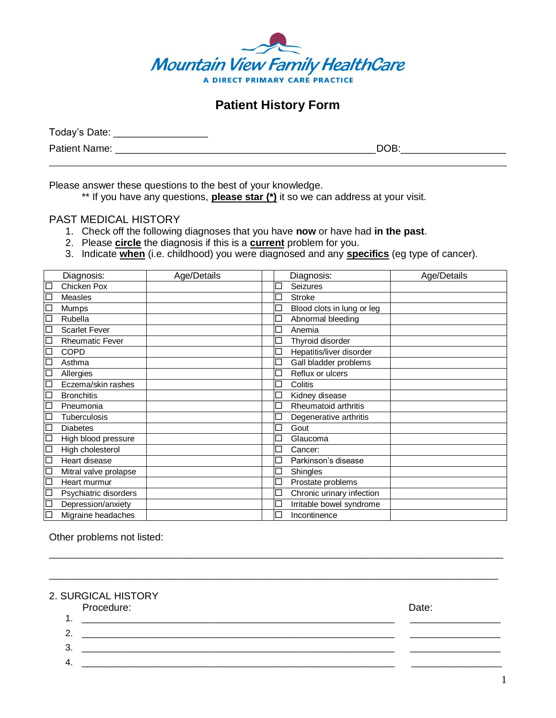

## **Patient History Form**

| Today's Date:        |      |
|----------------------|------|
| <b>Patient Name:</b> | DOB: |

Please answer these questions to the best of your knowledge.

\*\* If you have any questions, **please star (\*)** it so we can address at your visit.

## PAST MEDICAL HISTORY

- 1. Check off the following diagnoses that you have **now** or have had **in the past**.
- 2. Please **circle** the diagnosis if this is a **current** problem for you.
- 3. Indicate **when** (i.e. childhood) you were diagnosed and any **specifics** (eg type of cancer).

|        | Diagnosis:             | Age/Details | Diagnosis:                 | Age/Details |
|--------|------------------------|-------------|----------------------------|-------------|
| $\Box$ | Chicken Pox            |             | <b>Seizures</b>            |             |
| $\Box$ | Measles                |             | <b>Stroke</b>              |             |
| 口      | Mumps                  |             | Blood clots in lung or leg |             |
| $\Box$ | Rubella                |             | Abnormal bleeding          |             |
| $\Box$ | <b>Scarlet Fever</b>   |             | Anemia                     |             |
| $\Box$ | <b>Rheumatic Fever</b> |             | Thyroid disorder           |             |
| $\Box$ | <b>COPD</b>            |             | Hepatitis/liver disorder   |             |
| $\Box$ | Asthma                 |             | Gall bladder problems      |             |
| $\Box$ | Allergies              |             | Reflux or ulcers           |             |
| $\Box$ | Eczema/skin rashes     |             | Colitis                    |             |
| 口      | <b>Bronchitis</b>      |             | Kidney disease             |             |
| $\Box$ | Pneumonia              |             | Rheumatoid arthritis       |             |
| 口      | <b>Tuberculosis</b>    |             | Degenerative arthritis     |             |
| $\Box$ | <b>Diabetes</b>        |             | Gout                       |             |
| $\Box$ | High blood pressure    |             | Glaucoma                   |             |
| $\Box$ | High cholesterol       |             | Cancer:                    |             |
| $\Box$ | Heart disease          |             | Parkinson's disease        |             |
| 口      | Mitral valve prolapse  |             | Shingles                   |             |
| $\Box$ | Heart murmur           |             | Prostate problems          |             |
| $\Box$ | Psychiatric disorders  |             | Chronic urinary infection  |             |
| $\Box$ | Depression/anxiety     |             | Irritable bowel syndrome   |             |
| $\Box$ | Migraine headaches     |             | Incontinence               |             |

Other problems not listed:

2. SURGICAL HISTORY

| Procedure: | Date: |
|------------|-------|
|            |       |
|            |       |
|            |       |
|            |       |

 $\_$  ,  $\_$  ,  $\_$  ,  $\_$  ,  $\_$  ,  $\_$  ,  $\_$  ,  $\_$  ,  $\_$  ,  $\_$  ,  $\_$  ,  $\_$  ,  $\_$  ,  $\_$  ,  $\_$  ,  $\_$  ,  $\_$  ,  $\_$  ,  $\_$  ,  $\_$  ,  $\_$  ,  $\_$  ,  $\_$  ,  $\_$  ,  $\_$  ,  $\_$  ,  $\_$  ,  $\_$  ,  $\_$  ,  $\_$  ,  $\_$  ,  $\_$  ,  $\_$  ,  $\_$  ,  $\_$  ,  $\_$  ,  $\_$  ,

\_\_\_\_\_\_\_\_\_\_\_\_\_\_\_\_\_\_\_\_\_\_\_\_\_\_\_\_\_\_\_\_\_\_\_\_\_\_\_\_\_\_\_\_\_\_\_\_\_\_\_\_\_\_\_\_\_\_\_\_\_\_\_\_\_\_\_\_\_\_\_\_\_\_\_\_\_\_\_\_\_\_\_\_\_\_\_\_\_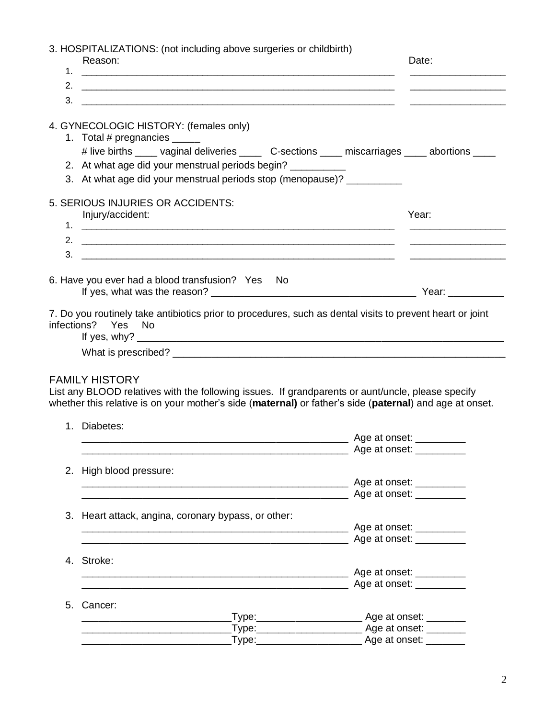3. HOSPITALIZATIONS: (not including above surgeries or childbirth) Reason: **Date: Date: Date: Date: Date: Date: Date: Date: Date: Date: Date: Date: Date: Date: Date: Date: Date: Date: Date: Date: Date: Date: Date: Date: Date: Date: Date:** 1. 2. \_\_\_\_\_\_\_\_\_\_\_\_\_\_\_\_\_\_\_\_\_\_\_\_\_\_\_\_\_\_\_\_\_\_\_\_\_\_\_\_\_\_\_\_\_\_\_\_\_\_\_\_\_\_\_\_\_\_\_\_\_\_ \_\_\_\_\_\_\_\_\_\_\_\_\_\_\_\_\_\_\_  $3.$ 4. GYNECOLOGIC HISTORY: (females only) 1. Total # pregnancies \_\_\_\_\_ # live births \_\_\_\_ vaginal deliveries \_\_\_\_ C-sections \_\_\_\_ miscarriages \_\_\_\_ abortions \_\_\_\_ 2. At what age did your menstrual periods begin? \_\_\_\_\_\_\_\_\_\_ 3. At what age did your menstrual periods stop (menopause)? 5. SERIOUS INJURIES OR ACCIDENTS: Injury/accident: Year: 1. \_\_\_\_\_\_\_\_\_\_\_\_\_\_\_\_\_\_\_\_\_\_\_\_\_\_\_\_\_\_\_\_\_\_\_\_\_\_\_\_\_\_\_\_\_\_\_\_\_\_\_\_\_\_\_\_\_\_\_\_\_\_ \_\_\_\_\_\_\_\_\_\_\_\_\_\_\_\_\_\_\_ 2. \_\_\_\_\_\_\_\_\_\_\_\_\_\_\_\_\_\_\_\_\_\_\_\_\_\_\_\_\_\_\_\_\_\_\_\_\_\_\_\_\_\_\_\_\_\_\_\_\_\_\_\_\_\_\_\_\_\_\_\_\_\_ \_\_\_\_\_\_\_\_\_\_\_\_\_\_\_\_\_\_\_  $3.$ 6. Have you ever had a blood transfusion? Yes No If yes, what was the reason? \_\_\_\_\_\_\_\_\_\_\_\_\_\_\_\_\_\_\_\_\_\_\_\_\_\_\_\_\_\_\_\_\_\_\_\_\_ Year: \_\_\_\_\_\_\_\_\_\_ 7. Do you routinely take antibiotics prior to procedures, such as dental visits to prevent heart or joint infections? Yes No If yes,  $why$ ? What is prescribed? \_\_\_\_\_\_\_\_\_\_\_\_\_\_\_\_\_\_\_\_\_\_\_\_\_\_\_\_\_\_\_\_\_\_\_\_\_\_\_\_\_\_\_\_\_\_\_\_\_\_\_\_\_\_\_\_\_\_\_\_ FAMILY HISTORY List any BLOOD relatives with the following issues. If grandparents or aunt/uncle, please specify whether this relative is on your mother's side (**maternal)** or father's side (**paternal**) and age at onset. 1. Diabetes: \_\_\_\_\_\_\_\_\_\_\_\_\_\_\_\_\_\_\_\_\_\_\_\_\_\_\_\_\_\_\_\_\_\_\_\_\_\_\_\_\_\_\_\_\_\_\_\_ Age at onset: \_\_\_\_\_\_\_\_\_ \_\_\_\_\_\_\_\_\_\_\_\_\_\_\_\_\_\_\_\_\_\_\_\_\_\_\_\_\_\_\_\_\_\_\_\_\_\_\_\_\_\_\_\_\_\_\_\_ Age at onset: \_\_\_\_\_\_\_\_\_ 2. High blood pressure: \_\_\_\_\_\_\_\_\_\_\_\_\_\_\_\_\_\_\_\_\_\_\_\_\_\_\_\_\_\_\_\_\_\_\_\_\_\_\_\_\_\_\_\_\_\_\_\_ Age at onset: \_\_\_\_\_\_\_\_\_ \_\_\_\_\_\_\_\_\_\_\_\_\_\_\_\_\_\_\_\_\_\_\_\_\_\_\_\_\_\_\_\_\_\_\_\_\_\_\_\_\_\_\_\_\_\_\_\_ Age at onset: \_\_\_\_\_\_\_\_\_ 3. Heart attack, angina, coronary bypass, or other: \_\_\_\_\_\_\_\_\_\_\_\_\_\_\_\_\_\_\_\_\_\_\_\_\_\_\_\_\_\_\_\_\_\_\_\_\_\_\_\_\_\_\_\_\_\_\_\_ Age at onset: \_\_\_\_\_\_\_\_\_ \_\_\_\_\_\_\_\_\_\_\_\_\_\_\_\_\_\_\_\_\_\_\_\_\_\_\_\_\_\_\_\_\_\_\_\_\_\_\_\_\_\_\_\_\_\_\_\_ Age at onset: \_\_\_\_\_\_\_\_\_ 4. Stroke: \_\_\_\_\_\_\_\_\_\_\_\_\_\_\_\_\_\_\_\_\_\_\_\_\_\_\_\_\_\_\_\_\_\_\_\_\_\_\_\_\_\_\_\_\_\_\_\_ Age at onset: \_\_\_\_\_\_\_\_\_ de at onset: 5. Cancer: \_\_\_\_\_\_\_\_\_\_\_\_\_\_\_\_\_\_\_\_\_\_\_\_\_\_\_Type:\_\_\_\_\_\_\_\_\_\_\_\_\_\_\_\_\_\_\_ Age at onset: \_\_\_\_\_\_\_ \_\_\_\_\_\_\_\_\_\_\_\_\_\_\_\_\_\_\_\_\_\_\_\_\_\_\_Type:\_\_\_\_\_\_\_\_\_\_\_\_\_\_\_\_\_\_\_ Age at onset: \_\_\_\_\_\_\_  $Type:$  Type:  $\qquad \qquad$  Age at onset: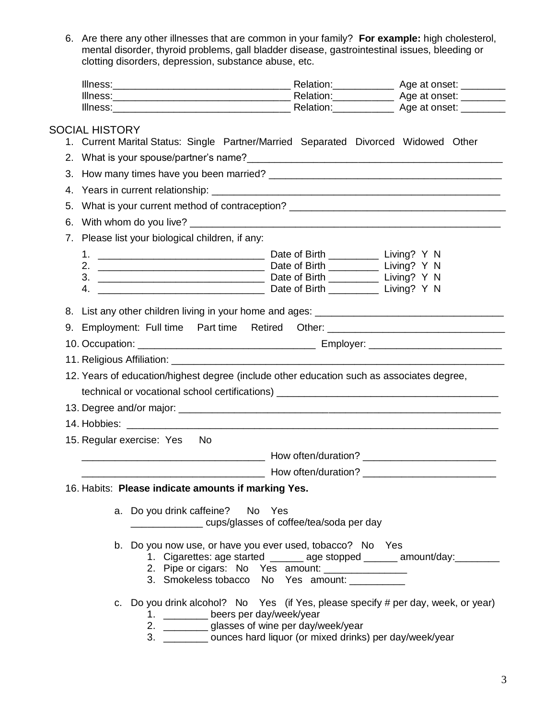6. Are there any other illnesses that are common in your family? **For example:** high cholesterol, mental disorder, thyroid problems, gall bladder disease, gastrointestinal issues, bleeding or clotting disorders, depression, substance abuse, etc.

| Illness: | Relation: | Age at onset: |
|----------|-----------|---------------|
| Illness: | Relation: | Age at onset: |
| Illness: | Relation: | Age at onset: |

## SOCIAL HISTORY

- 1. Current Marital Status: Single Partner/Married Separated Divorced Widowed Other
- 2. What is your spouse/partner's name?\_\_\_\_\_\_\_\_\_\_\_\_\_\_\_\_\_\_\_\_\_\_\_\_\_\_\_\_\_\_\_\_\_\_\_\_\_\_\_\_\_\_\_\_\_\_
- 3. How many times have you been married? 4. Years in current relationship: 5. What is your current method of contraception? 6. With whom do you live? \_\_\_\_\_\_\_\_\_\_\_\_\_\_\_\_\_\_\_\_\_\_\_\_\_\_\_\_\_\_\_\_\_\_\_\_\_\_\_\_\_\_\_\_\_\_\_\_\_\_\_\_\_\_\_\_ 7. Please list your biological children, if any: 1. \_\_\_\_\_\_\_\_\_\_\_\_\_\_\_\_\_\_\_\_\_\_\_\_\_\_\_\_\_\_ Date of Birth \_\_\_\_\_\_\_\_\_ Living? Y N 2. \_\_\_\_\_\_\_\_\_\_\_\_\_\_\_\_\_\_\_\_\_\_\_\_\_\_\_\_\_\_ Date of Birth \_\_\_\_\_\_\_\_\_ Living? Y N 3. \_\_\_\_\_\_\_\_\_\_\_\_\_\_\_\_\_\_\_\_\_\_\_\_\_\_\_\_\_\_ Date of Birth \_\_\_\_\_\_\_\_\_ Living? Y N 4. \_\_\_\_\_\_\_\_\_\_\_\_\_\_\_\_\_\_\_\_\_\_\_\_\_\_\_\_\_\_ Date of Birth \_\_\_\_\_\_\_\_\_ Living? Y N 8. List any other children living in your home and ages: \_\_\_\_\_\_\_\_\_\_\_\_\_\_\_\_\_\_\_\_\_\_\_\_ 9. Employment: Full time Part time Retired Other: \_\_\_\_\_\_\_\_\_\_\_\_\_\_\_\_\_\_\_\_\_\_\_\_\_\_\_ 10. Occupation: \_\_\_\_\_\_\_\_\_\_\_\_\_\_\_\_\_\_\_\_\_\_\_\_\_\_\_\_\_\_\_\_ Employer: \_\_\_\_\_\_\_\_\_\_\_\_\_\_\_\_\_\_\_\_\_\_\_\_ 11. Religious Affiliation: \_\_\_\_\_\_ 12. Years of education/highest degree (include other education such as associates degree, technical or vocational school certifications) 13. Degree and/or major: \_\_\_\_\_\_\_\_\_\_\_\_\_\_\_\_\_\_\_\_\_\_\_\_\_\_\_\_\_\_\_\_\_\_\_\_\_\_\_\_\_\_\_\_\_\_\_\_\_\_\_\_\_\_\_\_\_\_ 14. Hobbies: \_\_\_\_\_\_\_\_\_\_\_\_\_\_\_\_\_\_\_\_\_\_\_\_\_\_\_\_\_\_\_\_\_\_\_\_\_\_\_\_\_\_\_\_\_\_\_\_\_\_\_\_\_\_\_\_\_\_\_\_\_\_\_\_\_\_\_ 15. Regular exercise: Yes No \_\_\_\_\_\_\_\_\_\_\_\_\_\_\_\_\_\_\_\_\_\_\_\_\_\_\_\_\_\_\_\_\_ How often/duration? \_\_\_\_\_\_\_\_\_\_\_\_\_\_\_\_\_\_\_\_\_\_\_\_ \_\_\_\_\_\_\_\_\_\_\_\_\_\_\_\_\_\_\_\_\_\_\_\_\_\_\_\_\_\_\_\_\_ How often/duration? \_\_\_\_\_\_\_\_\_\_\_\_\_\_\_\_\_\_\_\_\_\_\_\_ 16. Habits: **Please indicate amounts if marking Yes.**
	- a. Do you drink caffeine? No Yes \_\_\_\_\_\_\_\_\_\_\_\_\_ cups/glasses of coffee/tea/soda per day
	- b. Do you now use, or have you ever used, tobacco? No Yes
		- 1. Cigarettes: age started \_\_\_\_\_\_\_ age stopped \_\_\_\_\_\_\_ amount/day:
		- 2. Pipe or cigars: No Yes amount:  $\frac{1}{\sqrt{1-\frac{1}{2}}}\$
		- 3. Smokeless tobacco No Yes amount: \_\_\_\_\_\_\_\_\_
	- c. Do you drink alcohol? No Yes (if Yes, please specify # per day, week, or year)
		- 1. beers per day/week/year
		- 2. \_\_\_\_\_\_\_\_ glasses of wine per day/week/year
		- 3. **Subset ounces hard liquor (or mixed drinks) per day/week/year**